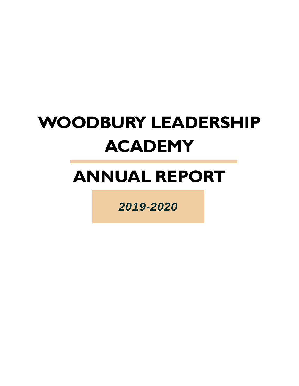# **WOODBURY LEADERSHIP ACADEMY**

# **ANNUAL REPORT**

*2019-2020*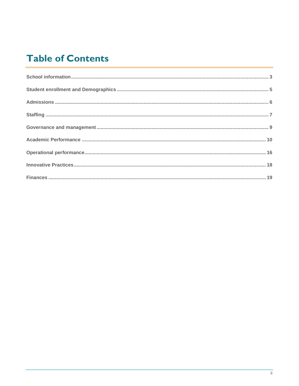## **Table of Contents**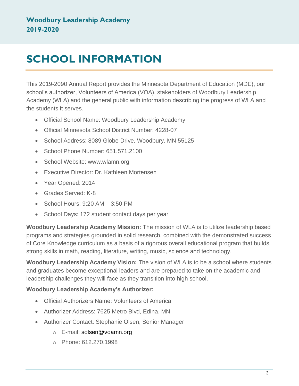# <span id="page-2-0"></span>**SCHOOL INFORMATION**

This 2019-2090 Annual Report provides the Minnesota Department of Education (MDE), our school's authorizer, Volunteers of America (VOA), stakeholders of Woodbury Leadership Academy (WLA) and the general public with information describing the progress of WLA and the students it serves.

- Official School Name: Woodbury Leadership Academy
- Official Minnesota School District Number: 4228-07
- School Address: 8089 Globe Drive, Woodbury, MN 55125
- School Phone Number: 651,571,2100
- School Website: www.wlamn.org
- Executive Director: Dr. Kathleen Mortensen
- Year Opened: 2014
- Grades Served: K-8
- School Hours: 9:20 AM 3:50 PM
- School Days: 172 student contact days per year

**Woodbury Leadership Academy Mission:** The mission of WLA is to utilize leadership based programs and strategies grounded in solid research, combined with the demonstrated success of Core Knowledge curriculum as a basis of a rigorous overall educational program that builds strong skills in math, reading, literature, writing, music, science and technology.

**Woodbury Leadership Academy Vision:** The vision of WLA is to be a school where students and graduates become exceptional leaders and are prepared to take on the academic and leadership challenges they will face as they transition into high school.

#### **Woodbury Leadership Academy's Authorizer:**

- Official Authorizers Name: Volunteers of America
- Authorizer Address: 7625 Metro Blvd, Edina, MN
- Authorizer Contact: Stephanie Olsen, Senior Manager
	- o E-mail: [solsen@voamn.org](mailto:solsen@voamn.org)
	- o Phone: 612.270.1998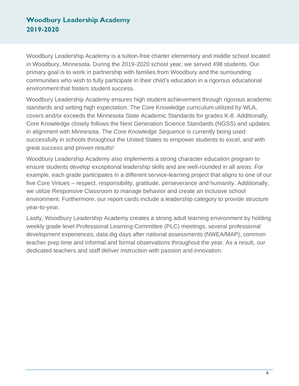Woodbury Leadership Academy is a tuition-free charter elementary and middle school located in Woodbury, Minnesota. During the 2019-2020 school year, we served 498 students. Our primary goal is to work in partnership with families from Woodbury and the surrounding communities who wish to fully participate in their child's education in a rigorous educational environment that fosters student success.

Woodbury Leadership Academy ensures high student achievement through rigorous academic standards and setting high expectation. The Core Knowledge curriculum utilized by WLA, covers and/or exceeds the Minnesota State Academic Standards for grades K-8. Additionally, Core Knowledge closely follows the Next Generation Science Standards (NGSS) and updates in alignment with Minnesota. The *Core Knowledge Sequence* is currently being used successfully in schools throughout the United States to empower students to excel, and with great success and proven results!

Woodbury Leadership Academy also implements a strong character education program to ensure students develop exceptional leadership skills and are well-rounded in all areas. For example, each grade participates in a different service-learning project that aligns to one of our five Core Virtues – respect, responsibility, gratitude, perseverance and humanity. Additionally, we utilize Responsive Classroom to manage behavior and create an inclusive school environment. Furthermore, our report cards include a leadership category to provide structure year-to-year.

Lastly, Woodbury Leadership Academy creates a strong adult learning environment by holding weekly grade level Professional Learning Committee (PLC) meetings, several professional development experiences, data dig days after national assessments (NWEA/MAP), common teacher prep time and informal and formal observations throughout the year. As a result, our dedicated teachers and staff deliver instruction with passion and innovation.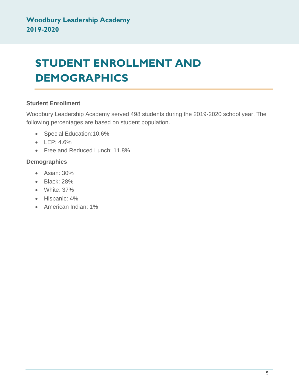# <span id="page-4-0"></span>**STUDENT ENROLLMENT AND DEMOGRAPHICS**

#### **Student Enrollment**

Woodbury Leadership Academy served 498 students during the 2019-2020 school year. The following percentages are based on student population.

- Special Education:10.6%
- LEP: 4.6%
- Free and Reduced Lunch: 11.8%

#### **Demographics**

- Asian: 30%
- Black: 28%
- White: 37%
- Hispanic: 4%
- American Indian: 1%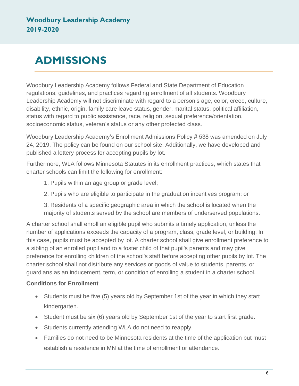# <span id="page-5-0"></span>**ADMISSIONS**

Woodbury Leadership Academy follows Federal and State Department of Education regulations, guidelines, and practices regarding enrollment of all students. Woodbury Leadership Academy will not discriminate with regard to a person's age, color, creed, culture, disability, ethnic, origin, family care leave status, gender, marital status, political affiliation, status with regard to public assistance, race, religion, sexual preference/orientation, socioeconomic status, veteran's status or any other protected class.

Woodbury Leadership Academy's Enrollment Admissions Policy # 538 was amended on July 24, 2019. The policy can be found on our school site. Additionally, we have developed and published a lottery process for accepting pupils by lot.

Furthermore, WLA follows Minnesota Statutes in its enrollment practices, which states that charter schools can limit the following for enrollment:

- 1. Pupils within an age group or grade level;
- 2. Pupils who are eligible to participate in the graduation incentives program; or

3. Residents of a specific geographic area in which the school is located when the majority of students served by the school are members of underserved populations.

A charter school shall enroll an eligible pupil who submits a timely application, unless the number of applications exceeds the capacity of a program, class, grade level, or building. In this case, pupils must be accepted by lot. A charter school shall give enrollment preference to a sibling of an enrolled pupil and to a foster child of that pupil's parents and may give preference for enrolling children of the school's staff before accepting other pupils by lot. The charter school shall not distribute any services or goods of value to students, parents, or guardians as an inducement, term, or condition of enrolling a student in a charter school.

#### **Conditions for Enrollment**

- Students must be five (5) years old by September 1st of the year in which they start kindergarten.
- Student must be six (6) years old by September 1st of the year to start first grade.
- Students currently attending WLA do not need to reapply.
- Families do not need to be Minnesota residents at the time of the application but must establish a residence in MN at the time of enrollment or attendance.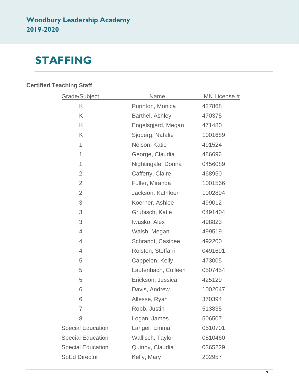## <span id="page-6-0"></span>**STAFFING**

### **Certified Teaching Staff**

| Grade/Subject            | <b>Name</b>         | MN License # |  |
|--------------------------|---------------------|--------------|--|
| K                        | Purinton, Monica    | 427868       |  |
| K                        | Barthel, Ashley     | 470375       |  |
| K                        | Engelsgjerd, Megan  | 471480       |  |
| K                        | Sjoberg, Natalie    | 1001689      |  |
| 1                        | Nelson, Katie       | 491524       |  |
| 1                        | George, Claudia     | 486696       |  |
| 1                        | Nightingale, Donna  | 0456089      |  |
| $\overline{2}$           | Cafferty, Claire    | 468950       |  |
| $\overline{2}$           | Fuller, Miranda     | 1001566      |  |
| $\overline{2}$           | Jackson, Kathleen   | 1002894      |  |
| 3                        | Koerner, Ashlee     | 499012       |  |
| 3                        | Grubisch, Katie     | 0491404      |  |
| 3                        | Iwasko, Alex        | 498823       |  |
| $\overline{4}$           | Walsh, Megan        | 499519       |  |
| 4                        | Schrandt, Casidee   | 492200       |  |
| $\overline{4}$           | Rolston, Steffani   | 0491691      |  |
| 5                        | Cappelen, Kelly     | 473005       |  |
| 5                        | Lautenbach, Colleen | 0507454      |  |
| 5                        | Erickson, Jessica   | 425129       |  |
| 6                        | Davis, Andrew       | 1002047      |  |
| 6                        | Allesse, Ryan       | 370394       |  |
| 7                        | Robb, Justin        | 513835       |  |
| 8                        | Logan, James        | 506507       |  |
| <b>Special Education</b> | Langer, Emma        | 0510701      |  |
| <b>Special Education</b> | Wallisch, Taylor    | 0510460      |  |
| <b>Special Education</b> | Quinby, Claudia     | 0365229      |  |
| <b>SpEd Director</b>     | Kelly, Mary         | 202957       |  |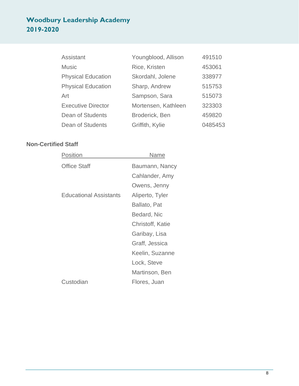| <b>Assistant</b>          | Youngblood, Allison | 491510  |
|---------------------------|---------------------|---------|
| <b>Music</b>              | Rice, Kristen       | 453061  |
| <b>Physical Education</b> | Skordahl, Jolene    | 338977  |
| <b>Physical Education</b> | Sharp, Andrew       | 515753  |
| Art                       | Sampson, Sara       | 515073  |
| <b>Executive Director</b> | Mortensen, Kathleen | 323303  |
| Dean of Students          | Broderick, Ben      | 459820  |
| <b>Dean of Students</b>   | Griffith, Kylie     | 0485453 |

#### **Non-Certified Staff**

| Position                      | Name             |
|-------------------------------|------------------|
| <b>Office Staff</b>           | Baumann, Nancy   |
|                               | Cahlander, Amy   |
|                               | Owens, Jenny     |
| <b>Educational Assistants</b> | Aliperto, Tyler  |
|                               | Ballato, Pat     |
|                               | Bedard, Nic      |
|                               | Christoff, Katie |
|                               | Garibay, Lisa    |
|                               | Graff, Jessica   |
|                               | Keelin, Suzanne  |
|                               | Lock, Steve      |
|                               | Martinson, Ben   |
| Custodian                     | Flores, Juan     |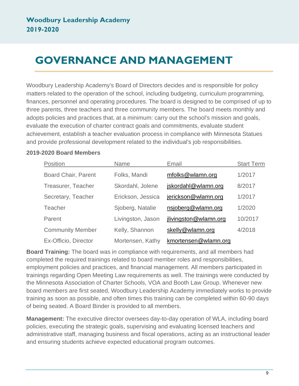# <span id="page-8-0"></span>**GOVERNANCE AND MANAGEMENT**

Woodbury Leadership Academy's Board of Directors decides and is responsible for policy matters related to the operation of the school, including budgeting, curriculum programming, finances, personnel and operating procedures. The board is designed to be comprised of up to three parents, three teachers and three community members. The board meets monthly and adopts policies and practices that, at a minimum: carry out the school's mission and goals, evaluate the execution of charter contract goals and commitments, evaluate student achievement, establish a teacher evaluation process in compliance with Minnesota Statues and provide professional development related to the individual's job responsibilities.

#### **2019-2020 Board Members**

| Position                   | <b>Name</b>       | Email                 | <b>Start Term</b> |
|----------------------------|-------------------|-----------------------|-------------------|
| <b>Board Chair, Parent</b> | Folks, Mandi      | mfolks@wlamn.org      | 1/2017            |
| Treasurer, Teacher         | Skordahl, Jolene  | jskordahl@wlamn.org   | 8/2017            |
| Secretary, Teacher         | Erickson, Jessica | jerickson@wlamn.org   | 1/2017            |
| <b>Teacher</b>             | Sjoberg, Natalie  | nsjoberg@wlamn.org    | 1/2020            |
| Parent                     | Livingston, Jason | jlivingston@wlamn.org | 10/2017           |
| <b>Community Member</b>    | Kelly, Shannon    | skelly@wlamn.org      | 4/2018            |
| Ex-Officio, Director       | Mortensen, Kathy  | kmortensen@wlamn.org  |                   |

**Board Training:** The board was in compliance with requirements, and all members had completed the required trainings related to board member roles and responsibilities, employment policies and practices, and financial management. All members participated in trainings regarding Open Meeting Law requirements as well. The trainings were conducted by the Minnesota Association of Charter Schools, VOA and Booth Law Group. Whenever new board members are first seated, Woodbury Leadership Academy immediately works to provide training as soon as possible, and often times this training can be completed within 60-90 days of being seated. A Board Binder is provided to all members.

**Management:** The executive director oversees day-to-day operation of WLA, including board policies, executing the strategic goals, supervising and evaluating licensed teachers and administrative staff, managing business and fiscal operations, acting as an instructional leader and ensuring students achieve expected educational program outcomes.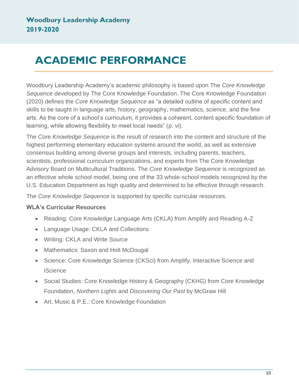# <span id="page-9-0"></span>**ACADEMIC PERFORMANCE**

Woodbury Leadership Academy's academic philosophy is based upon The *Core Knowledge Sequence* developed by The Core Knowledge Foundation. The Core Knowledge Foundation (2020) defines the *Core Knowledge Sequence* as "a detailed outline of specific content and skills to be taught in language arts, history, geography, mathematics, science, and the fine arts. As the core of a school's curriculum, it provides a coherent, content specific foundation of learning, while allowing flexibility to meet local needs" (p. vi).

The *Core Knowledge Sequence* is the result of research into the content and structure of the highest performing elementary education systems around the world, as well as extensive consensus building among diverse groups and interests, including parents, teachers, scientists, professional curriculum organizations, and experts from The Core Knowledge Advisory Board on Multicultural Traditions. The *Core Knowledge Sequence* is recognized as an effective whole school model, being one of the 33 whole-school models recognized by the U.S. Education Department as high quality and determined to be effective through research.

The *Core Knowledge Sequence* is supported by specific curricular resources.

#### **WLA's Curricular Resources**

- Reading: Core Knowledge Language Arts (CKLA) from Amplify and Reading A-Z
- Language Usage: CKLA and Collections
- Writing: CKLA and Write Source
- Mathematics: Saxon and Holt McDougal
- Science: Core Knowledge Science (CKSci) from Amplify, Interactive Science and **iScience**
- Social Studies: Core Knowledge History & Geography (CKHG) from Core Knowledge Foundation, *Northern Lights* and *Discovering Our Past* by McGraw Hill
- Art, Music & P.E.: Core Knowledge Foundation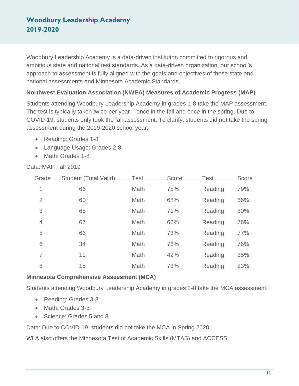Woodbury Leadership Academy is a data-driven institution committed to rigorous and ambitious state and national test standards. As a data-driven organization, our school's approach to assessment is fully aligned with the goals and objectives of these state and national assessments and Minnesota Academic Standards.

#### **Northwest Evaluation Association (NWEA) Measures of Academic Progress (MAP)**

Students attending Woodbury Leadership Academy in grades 1-8 take the MAP assessment. The test is typically taken twice per year – once in the fall and once in the spring. Due to COVID-19, students only took the fall assessment. To clarify, students did not take the spring assessment during the 2019-2020 school year.

- Reading: Grades 1-8
- Language Usage: Grades 2-8
- Math: Grades 1-8

#### Data: MAP Fall 2019

| Grade          | <b>Student (Total Valid)</b> | <b>Test</b> | <b>Score</b> | <b>Test</b> | Score |
|----------------|------------------------------|-------------|--------------|-------------|-------|
| 1              | 66                           | Math        | 75%          | Reading     | 79%   |
| $\overline{2}$ | 60                           | Math        | 68%          | Reading     | 66%   |
| 3              | 65                           | Math        | 71%          | Reading     | 80%   |
| $\overline{4}$ | 67                           | Math        | 66%          | Reading     | 76%   |
| 5              | 66                           | Math        | 73%          | Reading     | 77%   |
| 6              | 34                           | Math        | 76%          | Reading     | 76%   |
| 7              | 19                           | Math        | 42%          | Reading     | 35%   |
| 8              | 15                           | Math        | 73%          | Reading     | 23%   |

#### **Minnesota Comprehensive Assessment (MCA)**

Students attending Woodbury Leadership Academy in grades 3-8 take the MCA assessment.

- Reading: Grades 3-8
- Math: Grades 3-8
- Science: Grades 5 and 8

Data: Due to COVID-19, students did not take the MCA in Spring 2020.

WLA also offers the Minnesota Test of Academic Skills (MTAS) and ACCESS.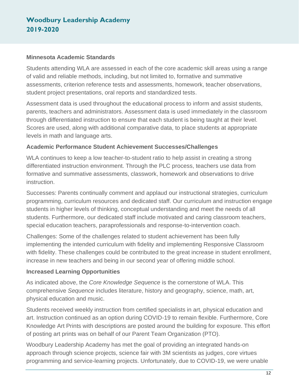#### **Minnesota Academic Standards**

Students attending WLA are assessed in each of the core academic skill areas using a range of valid and reliable methods, including, but not limited to, formative and summative assessments, criterion reference tests and assessments, homework, teacher observations, student project presentations, oral reports and standardized tests.

Assessment data is used throughout the educational process to inform and assist students, parents, teachers and administrators. Assessment data is used immediately in the classroom through differentiated instruction to ensure that each student is being taught at their level. Scores are used, along with additional comparative data, to place students at appropriate levels in math and language arts.

#### **Academic Performance Student Achievement Successes/Challenges**

WLA continues to keep a low teacher-to-student ratio to help assist in creating a strong differentiated instruction environment. Through the PLC process, teachers use data from formative and summative assessments, classwork, homework and observations to drive instruction.

Successes: Parents continually comment and applaud our instructional strategies, curriculum programming, curriculum resources and dedicated staff. Our curriculum and instruction engage students in higher levels of thinking, conceptual understanding and meet the needs of all students. Furthermore, our dedicated staff include motivated and caring classroom teachers, special education teachers, paraprofessionals and response-to-intervention coach.

Challenges: Some of the challenges related to student achievement has been fully implementing the intended curriculum with fidelity and implementing Responsive Classroom with fidelity. These challenges could be contributed to the great increase in student enrollment, increase in new teachers and being in our second year of offering middle school.

#### **Increased Learning Opportunities**

As indicated above, the *Core Knowledge Sequence* is the cornerstone of WLA. This comprehensive *Sequence* includes literature, history and geography, science, math, art, physical education and music.

Students received weekly instruction from certified specialists in art, physical education and art. Instruction continued as an option during COVID-19 to remain flexible. Furthermore, Core Knowledge Art Prints with descriptions are posted around the building for exposure. This effort of posting art prints was on behalf of our Parent Team Organization (PTO).

Woodbury Leadership Academy has met the goal of providing an integrated hands-on approach through science projects, science fair with 3M scientists as judges, core virtues programming and service-learning projects. Unfortunately, due to COVID-19, we were unable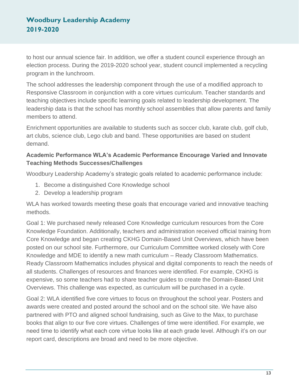to host our annual science fair. In addition, we offer a student council experience through an election process. During the 2019-2020 school year, student council implemented a recycling program in the lunchroom.

The school addresses the leadership component through the use of a modified approach to Responsive Classroom in conjunction with a core virtues curriculum. Teacher standards and teaching objectives include specific learning goals related to leadership development. The leadership data is that the school has monthly school assemblies that allow parents and family members to attend.

Enrichment opportunities are available to students such as soccer club, karate club, golf club, art clubs, science club, Lego club and band. These opportunities are based on student demand.

#### **Academic Performance WLA's Academic Performance Encourage Varied and Innovate Teaching Methods Successes/Challenges**

Woodbury Leadership Academy's strategic goals related to academic performance include:

- 1. Become a distinguished Core Knowledge school
- 2. Develop a leadership program

WLA has worked towards meeting these goals that encourage varied and innovative teaching methods.

Goal 1: We purchased newly released Core Knowledge curriculum resources from the Core Knowledge Foundation. Additionally, teachers and administration received official training from Core Knowledge and began creating CKHG Domain-Based Unit Overviews, which have been posted on our school site. Furthermore, our Curriculum Committee worked closely with Core Knowledge and MDE to identify a new math curriculum – Ready Classroom Mathematics. Ready Classroom Mathematics includes physical and digital components to reach the needs of all students. Challenges of resources and finances were identified. For example, CKHG is expensive, so some teachers had to share teacher guides to create the Domain-Based Unit Overviews. This challenge was expected, as curriculum will be purchased in a cycle.

Goal 2: WLA identified five core virtues to focus on throughout the school year. Posters and awards were created and posted around the school and on the school site. We have also partnered with PTO and aligned school fundraising, such as Give to the Max, to purchase books that align to our five core virtues. Challenges of time were identified. For example, we need time to identify what each core virtue looks like at each grade level. Although it's on our report card, descriptions are broad and need to be more objective.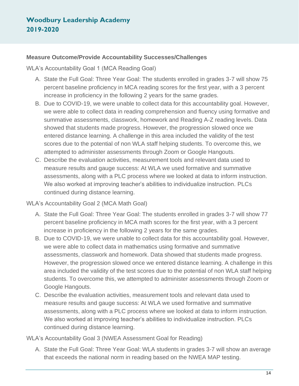#### **Measure Outcome/Provide Accountability Successes/Challenges**

WLA's Accountability Goal 1 (MCA Reading Goal)

- A. State the Full Goal: Three Year Goal: The students enrolled in grades 3-7 will show 75 percent baseline proficiency in MCA reading scores for the first year, with a 3 percent increase in proficiency in the following 2 years for the same grades.
- B. Due to COVID-19, we were unable to collect data for this accountability goal. However, we were able to collect data in reading comprehension and fluency using formative and summative assessments, classwork, homework and Reading A-Z reading levels. Data showed that students made progress. However, the progression slowed once we entered distance learning. A challenge in this area included the validity of the test scores due to the potential of non WLA staff helping students. To overcome this, we attempted to administer assessments through Zoom or Google Hangouts.
- C. Describe the evaluation activities, measurement tools and relevant data used to measure results and gauge success: At WLA we used formative and summative assessments, along with a PLC process where we looked at data to inform instruction. We also worked at improving teacher's abilities to individualize instruction. PLCs continued during distance learning.

WLA's Accountability Goal 2 (MCA Math Goal)

- A. State the Full Goal: Three Year Goal: The students enrolled in grades 3-7 will show 77 percent baseline proficiency in MCA math scores for the first year, with a 3 percent increase in proficiency in the following 2 years for the same grades.
- B. Due to COVID-19, we were unable to collect data for this accountability goal. However, we were able to collect data in mathematics using formative and summative assessments, classwork and homework. Data showed that students made progress. However, the progression slowed once we entered distance learning. A challenge in this area included the validity of the test scores due to the potential of non WLA staff helping students. To overcome this, we attempted to administer assessments through Zoom or Google Hangouts.
- C. Describe the evaluation activities, measurement tools and relevant data used to measure results and gauge success: At WLA we used formative and summative assessments, along with a PLC process where we looked at data to inform instruction. We also worked at improving teacher's abilities to individualize instruction. PLCs continued during distance learning.

WLA's Accountability Goal 3 (NWEA Assessment Goal for Reading)

A. State the Full Goal: Three Year Goal: WLA students in grades 3-7 will show an average that exceeds the national norm in reading based on the NWEA MAP testing.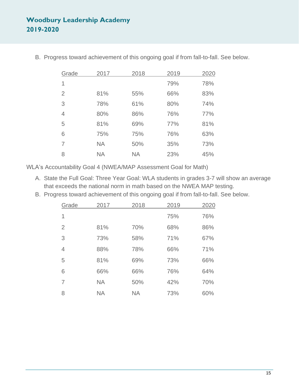| Grade | 2017      | 2018      | 2019 | 2020 |
|-------|-----------|-----------|------|------|
| 1     |           |           | 79%  | 78%  |
| 2     | 81%       | 55%       | 66%  | 83%  |
| 3     | 78%       | 61%       | 80%  | 74%  |
| 4     | 80%       | 86%       | 76%  | 77%  |
| 5     | 81%       | 69%       | 77%  | 81%  |
| 6     | 75%       | 75%       | 76%  | 63%  |
| 7     | <b>NA</b> | 50%       | 35%  | 73%  |
| 8     | <b>NA</b> | <b>NA</b> | 23%  | 45%  |

B. Progress toward achievement of this ongoing goal if from fall-to-fall. See below.

WLA's Accountability Goal 4 (NWEA/MAP Assessment Goal for Math)

- A. State the Full Goal: Three Year Goal: WLA students in grades 3-7 will show an average that exceeds the national norm in math based on the NWEA MAP testing.
- B. Progress toward achievement of this ongoing goal if from fall-to-fall. See below.

| Grade          | 2017      | 2018      | 2019 | 2020 |
|----------------|-----------|-----------|------|------|
| 1              |           |           | 75%  | 76%  |
| $\overline{2}$ | 81%       | 70%       | 68%  | 86%  |
| 3              | 73%       | 58%       | 71%  | 67%  |
| 4              | 88%       | 78%       | 66%  | 71%  |
| 5              | 81%       | 69%       | 73%  | 66%  |
| 6              | 66%       | 66%       | 76%  | 64%  |
| 7              | <b>NA</b> | 50%       | 42%  | 70%  |
| 8              | <b>NA</b> | <b>NA</b> | 73%  | 60%  |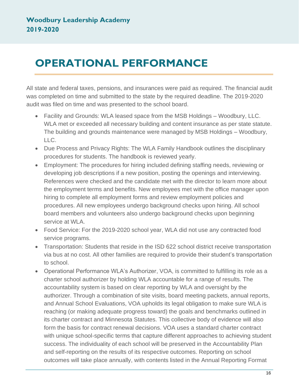## <span id="page-15-0"></span>**OPERATIONAL PERFORMANCE**

All state and federal taxes, pensions, and insurances were paid as required. The financial audit was completed on time and submitted to the state by the required deadline. The 2019-2020 audit was filed on time and was presented to the school board.

- Facility and Grounds: WLA leased space from the MSB Holdings Woodbury, LLC. WLA met or exceeded all necessary building and content insurance as per state statute. The building and grounds maintenance were managed by MSB Holdings – Woodbury, LLC.
- Due Process and Privacy Rights: The WLA Family Handbook outlines the disciplinary procedures for students. The handbook is reviewed yearly.
- Employment: The procedures for hiring included defining staffing needs, reviewing or developing job descriptions if a new position, posting the openings and interviewing. References were checked and the candidate met with the director to learn more about the employment terms and benefits. New employees met with the office manager upon hiring to complete all employment forms and review employment policies and procedures. All new employees undergo background checks upon hiring. All school board members and volunteers also undergo background checks upon beginning service at WLA.
- Food Service: For the 2019-2020 school year, WLA did not use any contracted food service programs.
- Transportation: Students that reside in the ISD 622 school district receive transportation via bus at no cost. All other families are required to provide their student's transportation to school.
- Operational Performance WLA's Authorizer, VOA, is committed to fulfilling its role as a charter school authorizer by holding WLA accountable for a range of results. The accountability system is based on clear reporting by WLA and oversight by the authorizer. Through a combination of site visits, board meeting packets, annual reports, and Annual School Evaluations, VOA upholds its legal obligation to make sure WLA is reaching (or making adequate progress toward) the goals and benchmarks outlined in its charter contract and Minnesota Statutes. This collective body of evidence will also form the basis for contract renewal decisions. VOA uses a standard charter contract with unique school-specific terms that capture different approaches to achieving student success. The individuality of each school will be preserved in the Accountability Plan and self-reporting on the results of its respective outcomes. Reporting on school outcomes will take place annually, with contents listed in the Annual Reporting Format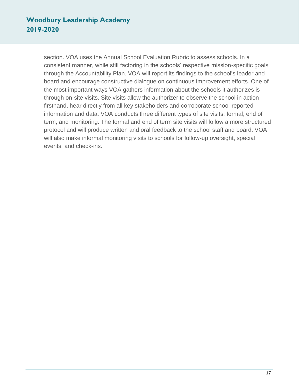section. VOA uses the Annual School Evaluation Rubric to assess schools. In a consistent manner, while still factoring in the schools' respective mission-specific goals through the Accountability Plan. VOA will report its findings to the school's leader and board and encourage constructive dialogue on continuous improvement efforts. One of the most important ways VOA gathers information about the schools it authorizes is through on-site visits. Site visits allow the authorizer to observe the school in action firsthand, hear directly from all key stakeholders and corroborate school-reported information and data. VOA conducts three different types of site visits: formal, end of term, and monitoring. The formal and end of term site visits will follow a more structured protocol and will produce written and oral feedback to the school staff and board. VOA will also make informal monitoring visits to schools for follow-up oversight, special events, and check-ins.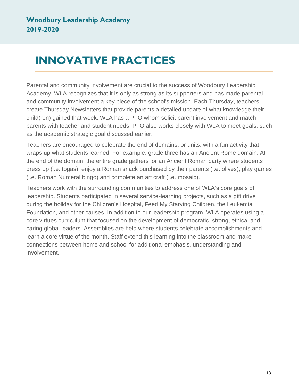# <span id="page-17-0"></span>**INNOVATIVE PRACTICES**

Parental and community involvement are crucial to the success of Woodbury Leadership Academy. WLA recognizes that it is only as strong as its supporters and has made parental and community involvement a key piece of the school's mission. Each Thursday, teachers create Thursday Newsletters that provide parents a detailed update of what knowledge their child(ren) gained that week. WLA has a PTO whom solicit parent involvement and match parents with teacher and student needs. PTO also works closely with WLA to meet goals, such as the academic strategic goal discussed earlier.

Teachers are encouraged to celebrate the end of domains, or units, with a fun activity that wraps up what students learned. For example, grade three has an Ancient Rome domain. At the end of the domain, the entire grade gathers for an Ancient Roman party where students dress up (i.e. togas), enjoy a Roman snack purchased by their parents (i.e. olives), play games (i.e. Roman Numeral bingo) and complete an art craft (i.e. mosaic).

Teachers work with the surrounding communities to address one of WLA's core goals of leadership. Students participated in several service-learning projects, such as a gift drive during the holiday for the Children's Hospital, Feed My Starving Children, the Leukemia Foundation, and other causes. In addition to our leadership program, WLA operates using a core virtues curriculum that focused on the development of democratic, strong, ethical and caring global leaders. Assemblies are held where students celebrate accomplishments and learn a core virtue of the month. Staff extend this learning into the classroom and make connections between home and school for additional emphasis, understanding and involvement.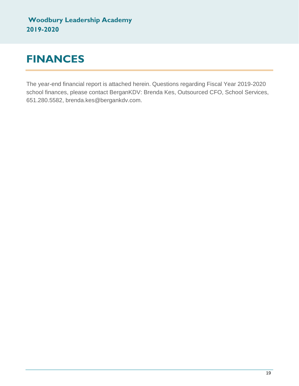# <span id="page-18-0"></span>**FINANCES**

The year-end financial report is attached herein. Questions regarding Fiscal Year 2019-2020 school finances, please contact BerganKDV: Brenda Kes, Outsourced CFO, School Services, 651.280.5582, brenda.kes@bergankdv.com.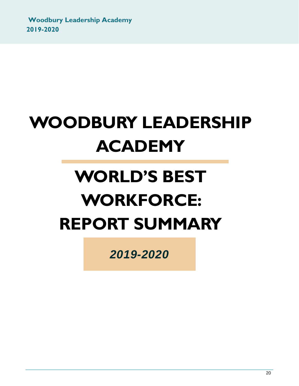# **WOODBURY LEADERSHIP ACADEMY**

# **WORLD'S BEST WORKFORCE: REPORT SUMMARY**

*2019-2020*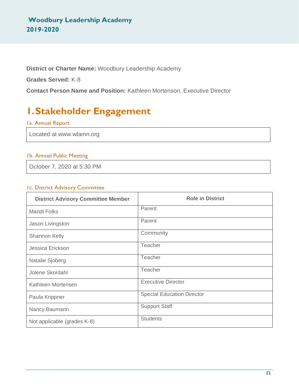**District or Charter Name:** Woodbury Leadership Academy

**Grades Served:** K-8

**Contact Person Name and Position:** Kathleen Mortenson, Executive Director

## **1.Stakeholder Engagement**

#### 1a. Annual Report

Located at www.wlamn.org

#### 1b. Annual Public Meeting

October 7, 2020 at 5:30 PM

#### 1c. District Advisory Committee

| <b>District Advisory Committee Member</b> | <b>Role in District</b>           |
|-------------------------------------------|-----------------------------------|
| <b>Mandi Folks</b>                        | Parent                            |
| Jason Livingston                          | Parent                            |
| Shannon Kelly                             | Community                         |
| Jessica Erickson                          | <b>Teacher</b>                    |
| Natalie Sjoberg                           | Teacher                           |
| Jolene Skordahl                           | Teacher                           |
| Kathleen Mortensen                        | <b>Executive Director</b>         |
| Paula Krippner                            | <b>Special Education Director</b> |
| Nancy Baumann                             | <b>Support Staff</b>              |
| Not applicable (grades K-8)               | <b>Students</b>                   |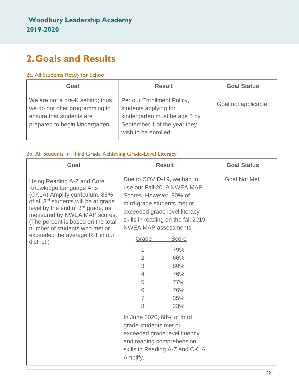## **2.Goals and Results**

#### 2a. All Students Ready for School

| Goal                                                                                                                               | <b>Result</b>                                                                                                                                | <b>Goal Status</b>   |
|------------------------------------------------------------------------------------------------------------------------------------|----------------------------------------------------------------------------------------------------------------------------------------------|----------------------|
| We are not a pre-K setting; thus,<br>we do not offer programming to<br>ensure that students are<br>prepared to begin kindergarten. | Per our Enrollment Policy,<br>students applying for<br>kindergarten must be age 5 by<br>September 1 of the year they<br>wish to be enrolled. | Goal not applicable. |

#### 2b. All Students in Third Grade Achieving Grade-Level Literacy

| Goal                                                                                                                                                                                                                                                                                                                                       |                                                                                                                                                                                                                                                                                                              | <b>Result</b>                                                                                                                                                                                                                               | <b>Goal Status</b> |
|--------------------------------------------------------------------------------------------------------------------------------------------------------------------------------------------------------------------------------------------------------------------------------------------------------------------------------------------|--------------------------------------------------------------------------------------------------------------------------------------------------------------------------------------------------------------------------------------------------------------------------------------------------------------|---------------------------------------------------------------------------------------------------------------------------------------------------------------------------------------------------------------------------------------------|--------------------|
| Using Reading A-Z and Core<br>Knowledge Language Arts<br>(CKLA) Amplify curriculum, 85%<br>of all 3 <sup>rd</sup> students will be at grade<br>level by the end of $3rd$ grade, as<br>measured by NWEA MAP scores.<br>(The percent is based on the total<br>number of students who met or<br>exceeded the average RIT in our<br>district.) | Due to COVID-19, we had to<br>Scores. However, 80% of<br>third-grade students met or<br><b>NWEA MAP assessments.</b><br>Grade<br>1<br>$\overline{2}$<br>3<br>$\overline{4}$<br>5<br>6<br>$\overline{7}$<br>8<br>In June 2020, 68% of third<br>grade students met or<br>and reading comprehension<br>Amplify. | use our Fall 2019 NWEA MAP<br>exceeded grade level literacy<br>skills in reading on the fall 2019<br><b>Score</b><br>79%<br>66%<br>80%<br>76%<br>77%<br>76%<br>35%<br>23%<br>exceeded grade level fluency<br>skills in Reading A-Z and CKLA | Goal Not Met.      |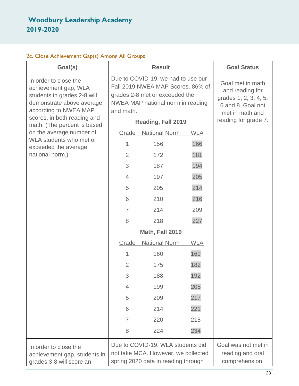#### 2c. Close Achievement Gap(s) Among All Groups

| Goal(s)                                                                                                                                                            |                                                                                                                 | <b>Result</b>                                                                                                                                                        |            | <b>Goal Status</b>                                                                                                           |
|--------------------------------------------------------------------------------------------------------------------------------------------------------------------|-----------------------------------------------------------------------------------------------------------------|----------------------------------------------------------------------------------------------------------------------------------------------------------------------|------------|------------------------------------------------------------------------------------------------------------------------------|
| In order to close the<br>achievement gap, WLA<br>students in grades 2-8 will<br>demonstrate above average,<br>according to NWEA MAP<br>scores, in both reading and | and math.                                                                                                       | Due to COVID-19, we had to use our<br>Fall 2019 NWEA MAP Scores. 86% of<br>grades 2-8 met or exceeded the<br>NWEA MAP national norm in reading<br>Reading, Fall 2019 |            | Goal met in math<br>and reading for<br>grades 1, 2, 3, 4, 5,<br>6 and 8. Goal not<br>met in math and<br>reading for grade 7. |
| math. (The percent is based<br>on the average number of                                                                                                            | Grade                                                                                                           | <b>National Norm</b>                                                                                                                                                 | <b>WLA</b> |                                                                                                                              |
| WLA students who met or<br>exceeded the average                                                                                                                    | 1                                                                                                               | 156                                                                                                                                                                  | 166        |                                                                                                                              |
| national norm.)                                                                                                                                                    | $\overline{2}$                                                                                                  | 172                                                                                                                                                                  | 181        |                                                                                                                              |
|                                                                                                                                                                    | 3                                                                                                               | 187                                                                                                                                                                  | 194        |                                                                                                                              |
|                                                                                                                                                                    | $\overline{4}$                                                                                                  | 197                                                                                                                                                                  | 205        |                                                                                                                              |
|                                                                                                                                                                    | 5                                                                                                               | 205                                                                                                                                                                  | 214        |                                                                                                                              |
|                                                                                                                                                                    | 6                                                                                                               | 210                                                                                                                                                                  | 216        |                                                                                                                              |
|                                                                                                                                                                    | $\overline{7}$                                                                                                  | 214                                                                                                                                                                  | 209        |                                                                                                                              |
|                                                                                                                                                                    | 8                                                                                                               | 218                                                                                                                                                                  | 227        |                                                                                                                              |
|                                                                                                                                                                    |                                                                                                                 | Math, Fall 2019                                                                                                                                                      |            |                                                                                                                              |
|                                                                                                                                                                    | Grade                                                                                                           | <b>National Norm</b>                                                                                                                                                 | <b>WLA</b> |                                                                                                                              |
|                                                                                                                                                                    | 1                                                                                                               | 160                                                                                                                                                                  | 169        |                                                                                                                              |
|                                                                                                                                                                    | $\overline{2}$                                                                                                  | 175                                                                                                                                                                  | 182        |                                                                                                                              |
|                                                                                                                                                                    | 3                                                                                                               | 188                                                                                                                                                                  | 192        |                                                                                                                              |
|                                                                                                                                                                    | 4                                                                                                               | 199                                                                                                                                                                  | 205        |                                                                                                                              |
|                                                                                                                                                                    | 5                                                                                                               | 209                                                                                                                                                                  | 217        |                                                                                                                              |
|                                                                                                                                                                    | 6                                                                                                               | 214                                                                                                                                                                  | 221        |                                                                                                                              |
|                                                                                                                                                                    | $\overline{7}$                                                                                                  | 220                                                                                                                                                                  | 215        |                                                                                                                              |
|                                                                                                                                                                    | 8                                                                                                               | 224                                                                                                                                                                  | 234        |                                                                                                                              |
| In order to close the<br>achievement gap, students in<br>grades 3-8 will score an                                                                                  | Due to COVID-19, WLA students did<br>not take MCA. However, we collected<br>spring 2020 data in reading through |                                                                                                                                                                      |            | Goal was not met in<br>reading and oral<br>comprehension.                                                                    |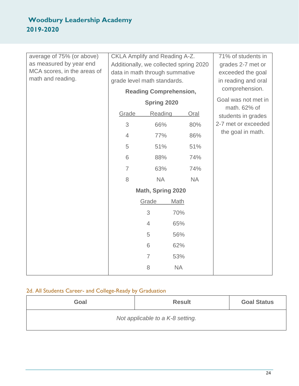| average of 75% (or above)<br>as measured by year end<br>MCA scores, in the areas of<br>math and reading. | CKLA Amplify and Reading A-Z.<br>Additionally, we collected spring 2020<br>data in math through summative<br>grade level math standards.<br><b>Reading Comprehension,</b> |                       |           | 71% of students in<br>grades 2-7 met or<br>exceeded the goal<br>in reading and oral<br>comprehension.<br>Goal was not met in<br>math. 62% of |
|----------------------------------------------------------------------------------------------------------|---------------------------------------------------------------------------------------------------------------------------------------------------------------------------|-----------------------|-----------|----------------------------------------------------------------------------------------------------------------------------------------------|
|                                                                                                          | Spring 2020<br>Grade<br>Reading<br>Oral                                                                                                                                   |                       |           |                                                                                                                                              |
|                                                                                                          | 3                                                                                                                                                                         | 66%                   | 80%       | students in grades<br>2-7 met or exceeded<br>the goal in math.                                                                               |
|                                                                                                          |                                                                                                                                                                           |                       |           |                                                                                                                                              |
|                                                                                                          | $\overline{4}$                                                                                                                                                            | 77%                   | 86%       |                                                                                                                                              |
|                                                                                                          | 5                                                                                                                                                                         | 51%                   | 51%       |                                                                                                                                              |
|                                                                                                          | 6                                                                                                                                                                         | 88%                   | 74%       |                                                                                                                                              |
|                                                                                                          | $\overline{7}$                                                                                                                                                            | 63%                   | 74%       |                                                                                                                                              |
|                                                                                                          | 8                                                                                                                                                                         | <b>NA</b>             | <b>NA</b> |                                                                                                                                              |
|                                                                                                          | Math, Spring 2020                                                                                                                                                         |                       |           |                                                                                                                                              |
|                                                                                                          |                                                                                                                                                                           | Grade<br><b>Math</b>  |           |                                                                                                                                              |
|                                                                                                          |                                                                                                                                                                           | 3<br>70%              |           |                                                                                                                                              |
|                                                                                                          |                                                                                                                                                                           | 65%<br>$\overline{4}$ |           |                                                                                                                                              |
|                                                                                                          |                                                                                                                                                                           | 5<br>56%              |           |                                                                                                                                              |
|                                                                                                          |                                                                                                                                                                           | 6<br>62%              |           |                                                                                                                                              |
|                                                                                                          |                                                                                                                                                                           | $\overline{7}$<br>53% |           |                                                                                                                                              |
|                                                                                                          |                                                                                                                                                                           | 8<br><b>NA</b>        |           |                                                                                                                                              |

## 2d. All Students Career- and College-Ready by Graduation

| Goal                             | <b>Result</b> | <b>Goal Status</b> |  |  |  |
|----------------------------------|---------------|--------------------|--|--|--|
| Not applicable to a K-8 setting. |               |                    |  |  |  |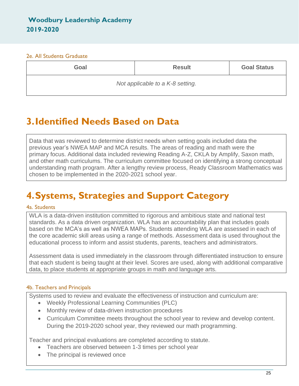#### 2e. All Students Graduate

| Goal                             | <b>Result</b> | <b>Goal Status</b> |  |  |  |
|----------------------------------|---------------|--------------------|--|--|--|
| Not applicable to a K-8 setting. |               |                    |  |  |  |

## **3.Identified Needs Based on Data**

Data that was reviewed to determine district needs when setting goals included data the previous year's NWEA MAP and MCA results. The areas of reading and math were the primary focus. Additional data included reviewing Reading A-Z, CKLA by Amplify, Saxon math, and other math curriculums. The curriculum committee focused on identifying a strong conceptual understanding math program. After a lengthy review process, Ready Classroom Mathematics was chosen to be implemented in the 2020-2021 school year.

## **4.Systems, Strategies and Support Category**

#### 4a. Students

WLA is a data-driven institution committed to rigorous and ambitious state and national test standards. As a data driven organization. WLA has an accountability plan that includes goals based on the MCA's as well as NWEA MAPs. Students attending WLA are assessed in each of the core academic skill areas using a range of methods. Assessment data is used throughout the educational process to inform and assist students, parents, teachers and administrators.

Assessment data is used immediately in the classroom through differentiated instruction to ensure that each student is being taught at their level. Scores are used, along with additional comparative data, to place students at appropriate groups in math and language arts.

#### 4b. Teachers and Principals

Systems used to review and evaluate the effectiveness of instruction and curriculum are:

- Weekly Professional Learning Communities (PLC)
- Monthly review of data-driven instruction procedures
- Curriculum Committee meets throughout the school year to review and develop content. During the 2019-2020 school year, they reviewed our math programming.

Teacher and principal evaluations are completed according to statute.

- Teachers are observed between 1-3 times per school year
- The principal is reviewed once